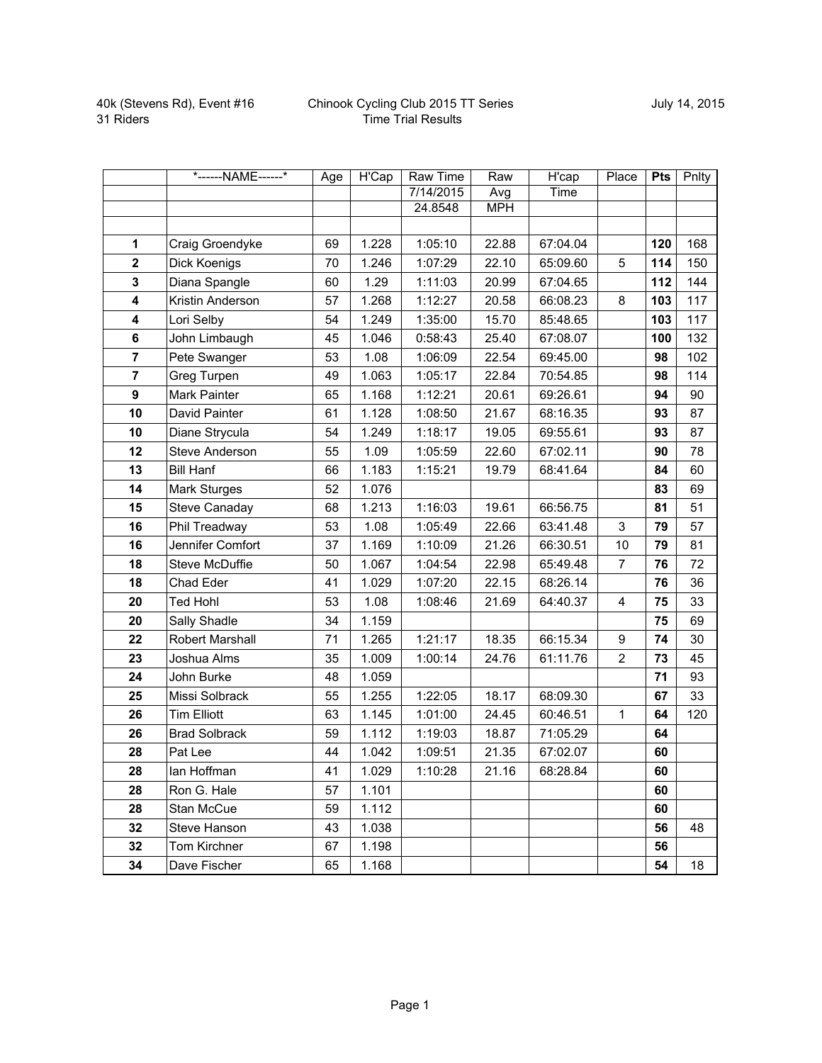|                | *------NAME------*    | Age | H'Cap | <b>Raw Time</b> | Raw        | H'cap    | Place                   | <b>Pts</b> | <b>Pnlty</b> |
|----------------|-----------------------|-----|-------|-----------------|------------|----------|-------------------------|------------|--------------|
|                |                       |     |       | 7/14/2015       | Avg        | Time     |                         |            |              |
|                |                       |     |       | 24.8548         | <b>MPH</b> |          |                         |            |              |
|                |                       |     |       |                 |            |          |                         |            |              |
| 1              | Craig Groendyke       | 69  | 1.228 | 1:05:10         | 22.88      | 67:04.04 |                         | 120        | 168          |
| $\mathbf 2$    | Dick Koenigs          | 70  | 1.246 | 1:07:29         | 22.10      | 65:09.60 | 5                       | 114        | 150          |
| 3              | Diana Spangle         | 60  | 1.29  | 1:11:03         | 20.99      | 67:04.65 |                         | 112        | 144          |
| 4              | Kristin Anderson      | 57  | 1.268 | 1:12:27         | 20.58      | 66:08.23 | 8                       | 103        | 117          |
| 4              | Lori Selby            | 54  | 1.249 | 1:35:00         | 15.70      | 85:48.65 |                         | 103        | 117          |
| 6              | John Limbaugh         | 45  | 1.046 | 0:58:43         | 25.40      | 67:08.07 |                         | 100        | 132          |
| $\overline{7}$ | Pete Swanger          | 53  | 1.08  | 1:06:09         | 22.54      | 69:45.00 |                         | 98         | 102          |
| $\overline{7}$ | Greg Turpen           | 49  | 1.063 | 1:05:17         | 22.84      | 70:54.85 |                         | 98         | 114          |
| 9              | Mark Painter          | 65  | 1.168 | 1:12:21         | 20.61      | 69:26.61 |                         | 94         | 90           |
| 10             | David Painter         | 61  | 1.128 | 1:08:50         | 21.67      | 68:16.35 |                         | 93         | 87           |
| 10             | Diane Strycula        | 54  | 1.249 | 1:18:17         | 19.05      | 69:55.61 |                         | 93         | 87           |
| 12             | <b>Steve Anderson</b> | 55  | 1.09  | 1:05:59         | 22.60      | 67:02.11 |                         | 90         | 78           |
| 13             | <b>Bill Hanf</b>      | 66  | 1.183 | 1:15:21         | 19.79      | 68:41.64 |                         | 84         | 60           |
| 14             | Mark Sturges          | 52  | 1.076 |                 |            |          |                         | 83         | 69           |
| 15             | Steve Canaday         | 68  | 1.213 | 1:16:03         | 19.61      | 66:56.75 |                         | 81         | 51           |
| 16             | Phil Treadway         | 53  | 1.08  | 1:05:49         | 22.66      | 63:41.48 | 3                       | 79         | 57           |
| 16             | Jennifer Comfort      | 37  | 1.169 | 1:10:09         | 21.26      | 66:30.51 | 10                      | 79         | 81           |
| 18             | Steve McDuffie        | 50  | 1.067 | 1:04:54         | 22.98      | 65:49.48 | $\overline{7}$          | 76         | 72           |
| 18             | Chad Eder             | 41  | 1.029 | 1:07:20         | 22.15      | 68:26.14 |                         | 76         | 36           |
| 20             | <b>Ted Hohl</b>       | 53  | 1.08  | 1:08:46         | 21.69      | 64:40.37 | $\overline{\mathbf{4}}$ | 75         | 33           |
| 20             | Sally Shadle          | 34  | 1.159 |                 |            |          |                         | 75         | 69           |
| 22             | Robert Marshall       | 71  | 1.265 | 1:21:17         | 18.35      | 66:15.34 | 9                       | 74         | 30           |
| 23             | Joshua Alms           | 35  | 1.009 | 1:00:14         | 24.76      | 61:11.76 | $\overline{2}$          | 73         | 45           |
| 24             | John Burke            | 48  | 1.059 |                 |            |          |                         | 71         | 93           |
| 25             | Missi Solbrack        | 55  | 1.255 | 1:22:05         | 18.17      | 68:09.30 |                         | 67         | 33           |
| 26             | <b>Tim Elliott</b>    | 63  | 1.145 | 1:01:00         | 24.45      | 60:46.51 | $\mathbf{1}$            | 64         | 120          |
| 26             | <b>Brad Solbrack</b>  | 59  | 1.112 | 1:19:03         | 18.87      | 71:05.29 |                         | 64         |              |
| 28             | Pat Lee               | 44  | 1.042 | 1:09:51         | 21.35      | 67:02.07 |                         | 60         |              |
| 28             | lan Hoffman           | 41  | 1.029 | 1:10:28         | 21.16      | 68:28.84 |                         | 60         |              |
| 28             | Ron G. Hale           | 57  | 1.101 |                 |            |          |                         | 60         |              |
| 28             | Stan McCue            | 59  | 1.112 |                 |            |          |                         | 60         |              |
| 32             | Steve Hanson          | 43  | 1.038 |                 |            |          |                         | 56         | 48           |
| 32             | Tom Kirchner          | 67  | 1.198 |                 |            |          |                         | 56         |              |
| 34             | Dave Fischer          | 65  | 1.168 |                 |            |          |                         | 54         | 18           |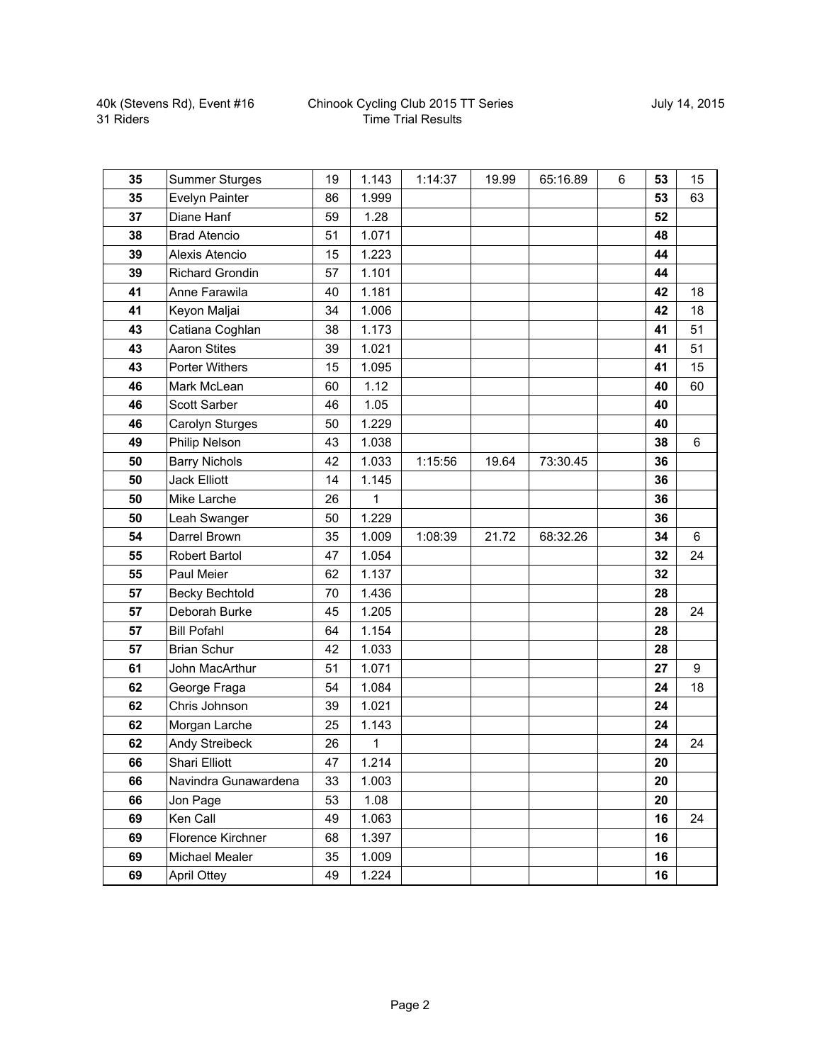| 35 | <b>Summer Sturges</b>  | 19 | 1.143 | 1:14:37 | 19.99 | 65:16.89 | 6 | 53 | 15 |
|----|------------------------|----|-------|---------|-------|----------|---|----|----|
| 35 | Evelyn Painter         | 86 | 1.999 |         |       |          |   | 53 | 63 |
| 37 | Diane Hanf             | 59 | 1.28  |         |       |          |   | 52 |    |
| 38 | <b>Brad Atencio</b>    | 51 | 1.071 |         |       |          |   | 48 |    |
| 39 | Alexis Atencio         | 15 | 1.223 |         |       |          |   | 44 |    |
| 39 | <b>Richard Grondin</b> | 57 | 1.101 |         |       |          |   | 44 |    |
| 41 | Anne Farawila          | 40 | 1.181 |         |       |          |   | 42 | 18 |
| 41 | Keyon Maljai           | 34 | 1.006 |         |       |          |   | 42 | 18 |
| 43 | Catiana Coghlan        | 38 | 1.173 |         |       |          |   | 41 | 51 |
| 43 | <b>Aaron Stites</b>    | 39 | 1.021 |         |       |          |   | 41 | 51 |
| 43 | <b>Porter Withers</b>  | 15 | 1.095 |         |       |          |   | 41 | 15 |
| 46 | Mark McLean            | 60 | 1.12  |         |       |          |   | 40 | 60 |
| 46 | Scott Sarber           | 46 | 1.05  |         |       |          |   | 40 |    |
| 46 | Carolyn Sturges        | 50 | 1.229 |         |       |          |   | 40 |    |
| 49 | Philip Nelson          | 43 | 1.038 |         |       |          |   | 38 | 6  |
| 50 | <b>Barry Nichols</b>   | 42 | 1.033 | 1:15:56 | 19.64 | 73:30.45 |   | 36 |    |
| 50 | <b>Jack Elliott</b>    | 14 | 1.145 |         |       |          |   | 36 |    |
| 50 | Mike Larche            | 26 | 1     |         |       |          |   | 36 |    |
| 50 | Leah Swanger           | 50 | 1.229 |         |       |          |   | 36 |    |
| 54 | Darrel Brown           | 35 | 1.009 | 1:08:39 | 21.72 | 68:32.26 |   | 34 | 6  |
| 55 | <b>Robert Bartol</b>   | 47 | 1.054 |         |       |          |   | 32 | 24 |
| 55 | Paul Meier             | 62 | 1.137 |         |       |          |   | 32 |    |
| 57 | <b>Becky Bechtold</b>  | 70 | 1.436 |         |       |          |   | 28 |    |
| 57 | Deborah Burke          | 45 | 1.205 |         |       |          |   | 28 | 24 |
| 57 | <b>Bill Pofahl</b>     | 64 | 1.154 |         |       |          |   | 28 |    |
| 57 | <b>Brian Schur</b>     | 42 | 1.033 |         |       |          |   | 28 |    |
| 61 | John MacArthur         | 51 | 1.071 |         |       |          |   | 27 | 9  |
| 62 | George Fraga           | 54 | 1.084 |         |       |          |   | 24 | 18 |
| 62 | Chris Johnson          | 39 | 1.021 |         |       |          |   | 24 |    |
| 62 | Morgan Larche          | 25 | 1.143 |         |       |          |   | 24 |    |
| 62 | Andy Streibeck         | 26 | 1     |         |       |          |   | 24 | 24 |
| 66 | Shari Elliott          | 47 | 1.214 |         |       |          |   | 20 |    |
| 66 | Navindra Gunawardena   | 33 | 1.003 |         |       |          |   | 20 |    |
| 66 | Jon Page               | 53 | 1.08  |         |       |          |   | 20 |    |
| 69 | Ken Call               | 49 | 1.063 |         |       |          |   | 16 | 24 |
| 69 | Florence Kirchner      | 68 | 1.397 |         |       |          |   | 16 |    |
| 69 | Michael Mealer         | 35 | 1.009 |         |       |          |   | 16 |    |
| 69 | <b>April Ottey</b>     | 49 | 1.224 |         |       |          |   | 16 |    |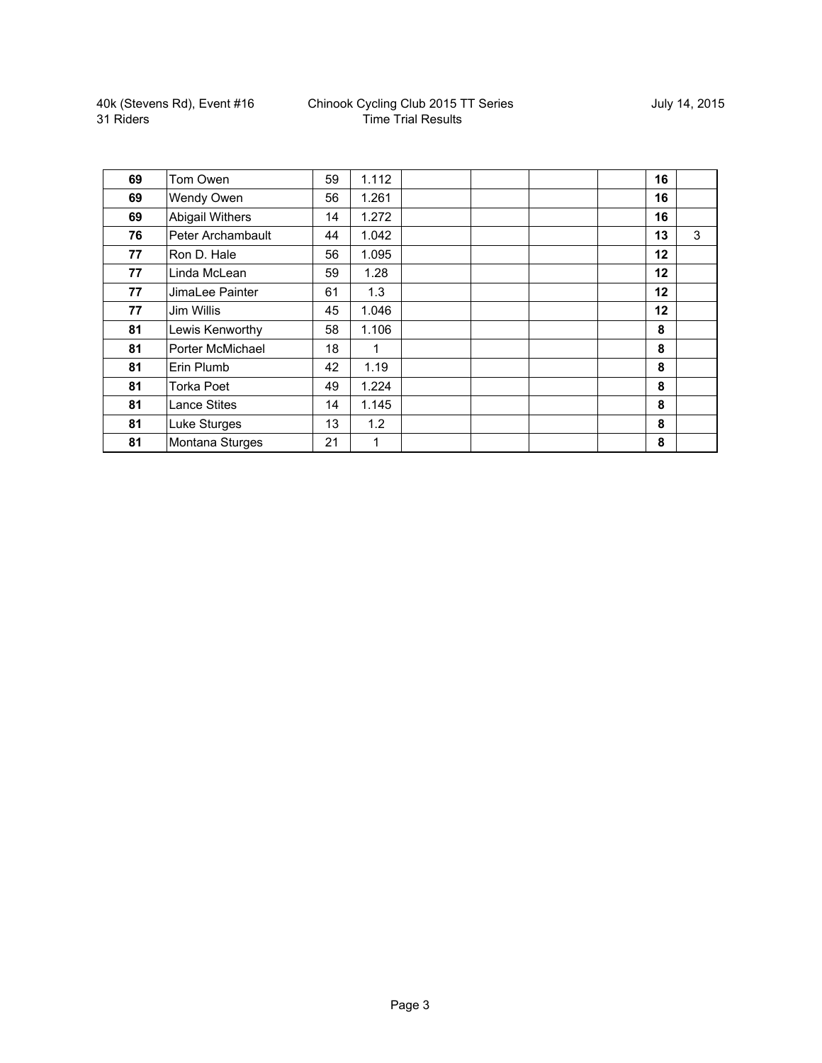| 69 | Tom Owen               | 59 | 1.112 |  | 16 |   |
|----|------------------------|----|-------|--|----|---|
| 69 | Wendy Owen             | 56 | 1.261 |  | 16 |   |
| 69 | <b>Abigail Withers</b> | 14 | 1.272 |  | 16 |   |
| 76 | Peter Archambault      | 44 | 1.042 |  | 13 | 3 |
| 77 | Ron D. Hale            | 56 | 1.095 |  | 12 |   |
| 77 | Linda McLean           | 59 | 1.28  |  | 12 |   |
| 77 | JimaLee Painter        | 61 | 1.3   |  | 12 |   |
| 77 | Jim Willis             | 45 | 1.046 |  | 12 |   |
| 81 | Lewis Kenworthy        | 58 | 1.106 |  | 8  |   |
| 81 | Porter McMichael       | 18 | 1     |  | 8  |   |
| 81 | Erin Plumb             | 42 | 1.19  |  | 8  |   |
| 81 | Torka Poet             | 49 | 1.224 |  | 8  |   |
| 81 | <b>Lance Stites</b>    | 14 | 1.145 |  | 8  |   |
| 81 | Luke Sturges           | 13 | 1.2   |  | 8  |   |
| 81 | Montana Sturges        | 21 | 1     |  | 8  |   |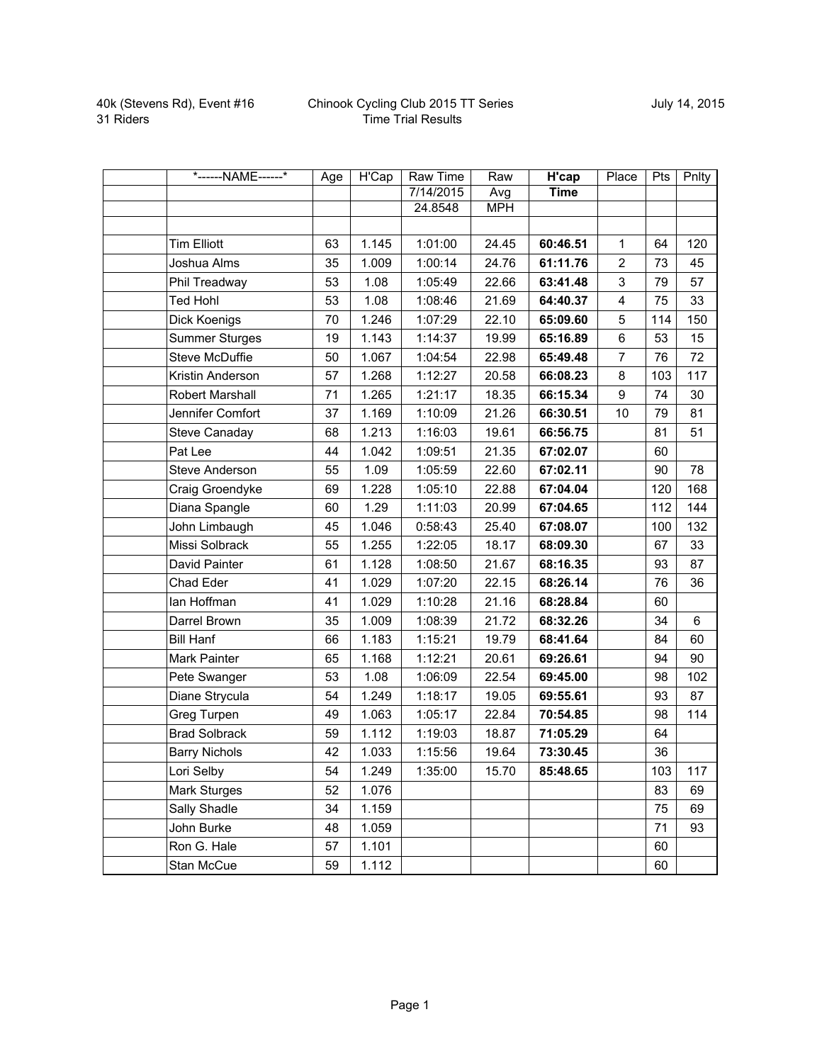| *------NAME------*    | Age | <b>H'Cap</b> | <b>Raw Time</b> | Raw        | H'cap       | Place          | <b>Pts</b> | Pnlty |
|-----------------------|-----|--------------|-----------------|------------|-------------|----------------|------------|-------|
|                       |     |              | 7/14/2015       | Avg        | <b>Time</b> |                |            |       |
|                       |     |              | 24.8548         | <b>MPH</b> |             |                |            |       |
|                       |     |              |                 |            |             |                |            |       |
| <b>Tim Elliott</b>    | 63  | 1.145        | 1:01:00         | 24.45      | 60:46.51    | $\mathbf{1}$   | 64         | 120   |
| Joshua Alms           | 35  | 1.009        | 1:00:14         | 24.76      | 61:11.76    | $\overline{2}$ | 73         | 45    |
| Phil Treadway         | 53  | 1.08         | 1:05:49         | 22.66      | 63:41.48    | 3              | 79         | 57    |
| <b>Ted Hohl</b>       | 53  | 1.08         | 1:08:46         | 21.69      | 64:40.37    | 4              | 75         | 33    |
| Dick Koenigs          | 70  | 1.246        | 1:07:29         | 22.10      | 65:09.60    | 5              | 114        | 150   |
| <b>Summer Sturges</b> | 19  | 1.143        | 1:14:37         | 19.99      | 65:16.89    | 6              | 53         | 15    |
| <b>Steve McDuffie</b> | 50  | 1.067        | 1:04:54         | 22.98      | 65:49.48    | $\overline{7}$ | 76         | 72    |
| Kristin Anderson      | 57  | 1.268        | 1:12:27         | 20.58      | 66:08.23    | 8              | 103        | 117   |
| Robert Marshall       | 71  | 1.265        | 1:21:17         | 18.35      | 66:15.34    | 9              | 74         | 30    |
| Jennifer Comfort      | 37  | 1.169        | 1:10:09         | 21.26      | 66:30.51    | 10             | 79         | 81    |
| Steve Canaday         | 68  | 1.213        | 1:16:03         | 19.61      | 66:56.75    |                | 81         | 51    |
| Pat Lee               | 44  | 1.042        | 1:09:51         | 21.35      | 67:02.07    |                | 60         |       |
| <b>Steve Anderson</b> | 55  | 1.09         | 1:05:59         | 22.60      | 67:02.11    |                | 90         | 78    |
| Craig Groendyke       | 69  | 1.228        | 1:05:10         | 22.88      | 67:04.04    |                | 120        | 168   |
| Diana Spangle         | 60  | 1.29         | 1:11:03         | 20.99      | 67:04.65    |                | 112        | 144   |
| John Limbaugh         | 45  | 1.046        | 0:58:43         | 25.40      | 67:08.07    |                | 100        | 132   |
| Missi Solbrack        | 55  | 1.255        | 1:22:05         | 18.17      | 68:09.30    |                | 67         | 33    |
| David Painter         | 61  | 1.128        | 1:08:50         | 21.67      | 68:16.35    |                | 93         | 87    |
| Chad Eder             | 41  | 1.029        | 1:07:20         | 22.15      | 68:26.14    |                | 76         | 36    |
| lan Hoffman           | 41  | 1.029        | 1:10:28         | 21.16      | 68:28.84    |                | 60         |       |
| Darrel Brown          | 35  | 1.009        | 1:08:39         | 21.72      | 68:32.26    |                | 34         | 6     |
| <b>Bill Hanf</b>      | 66  | 1.183        | 1:15:21         | 19.79      | 68:41.64    |                | 84         | 60    |
| Mark Painter          | 65  | 1.168        | 1:12:21         | 20.61      | 69:26.61    |                | 94         | 90    |
| Pete Swanger          | 53  | 1.08         | 1:06:09         | 22.54      | 69:45.00    |                | 98         | 102   |
| Diane Strycula        | 54  | 1.249        | 1:18:17         | 19.05      | 69:55.61    |                | 93         | 87    |
| Greg Turpen           | 49  | 1.063        | 1:05:17         | 22.84      | 70:54.85    |                | 98         | 114   |
| <b>Brad Solbrack</b>  | 59  | 1.112        | 1:19:03         | 18.87      | 71:05.29    |                | 64         |       |
| <b>Barry Nichols</b>  | 42  | 1.033        | 1:15:56         | 19.64      | 73:30.45    |                | 36         |       |
| Lori Selby            | 54  | 1.249        | 1:35:00         | 15.70      | 85:48.65    |                | 103        | 117   |
| Mark Sturges          | 52  | 1.076        |                 |            |             |                | 83         | 69    |
| Sally Shadle          | 34  | 1.159        |                 |            |             |                | 75         | 69    |
| John Burke            | 48  | 1.059        |                 |            |             |                | 71         | 93    |
| Ron G. Hale           | 57  | 1.101        |                 |            |             |                | 60         |       |
| Stan McCue            | 59  | 1.112        |                 |            |             |                | 60         |       |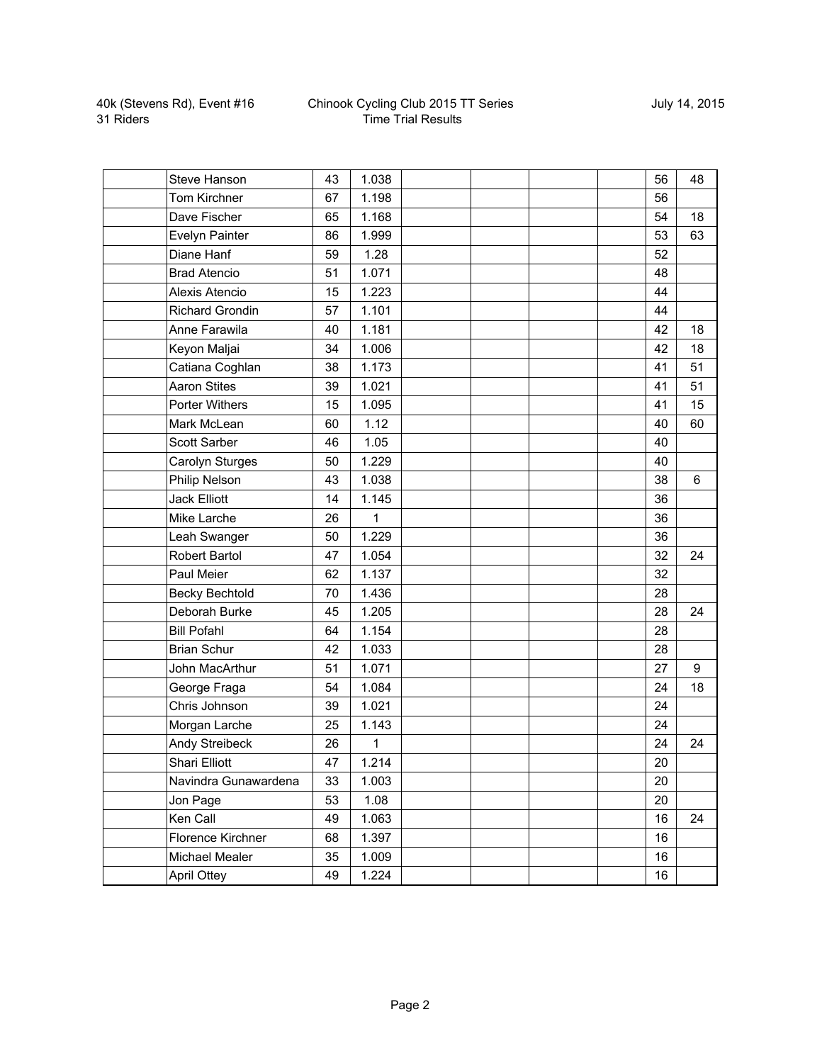| Steve Hanson           | 43 | 1.038 |  |  | 56 | 48 |
|------------------------|----|-------|--|--|----|----|
| Tom Kirchner           | 67 | 1.198 |  |  | 56 |    |
| Dave Fischer           | 65 | 1.168 |  |  | 54 | 18 |
| Evelyn Painter         | 86 | 1.999 |  |  | 53 | 63 |
| Diane Hanf             | 59 | 1.28  |  |  | 52 |    |
| <b>Brad Atencio</b>    | 51 | 1.071 |  |  | 48 |    |
| Alexis Atencio         | 15 | 1.223 |  |  | 44 |    |
| <b>Richard Grondin</b> | 57 | 1.101 |  |  | 44 |    |
| Anne Farawila          | 40 | 1.181 |  |  | 42 | 18 |
| Keyon Maljai           | 34 | 1.006 |  |  | 42 | 18 |
| Catiana Coghlan        | 38 | 1.173 |  |  | 41 | 51 |
| <b>Aaron Stites</b>    | 39 | 1.021 |  |  | 41 | 51 |
| Porter Withers         | 15 | 1.095 |  |  | 41 | 15 |
| Mark McLean            | 60 | 1.12  |  |  | 40 | 60 |
| <b>Scott Sarber</b>    | 46 | 1.05  |  |  | 40 |    |
| Carolyn Sturges        | 50 | 1.229 |  |  | 40 |    |
| Philip Nelson          | 43 | 1.038 |  |  | 38 | 6  |
| <b>Jack Elliott</b>    | 14 | 1.145 |  |  | 36 |    |
| Mike Larche            | 26 | 1     |  |  | 36 |    |
| Leah Swanger           | 50 | 1.229 |  |  | 36 |    |
| Robert Bartol          | 47 | 1.054 |  |  | 32 | 24 |
| Paul Meier             | 62 | 1.137 |  |  | 32 |    |
| <b>Becky Bechtold</b>  | 70 | 1.436 |  |  | 28 |    |
| Deborah Burke          | 45 | 1.205 |  |  | 28 | 24 |
| <b>Bill Pofahl</b>     | 64 | 1.154 |  |  | 28 |    |
| <b>Brian Schur</b>     | 42 | 1.033 |  |  | 28 |    |
| John MacArthur         | 51 | 1.071 |  |  | 27 | 9  |
| George Fraga           | 54 | 1.084 |  |  | 24 | 18 |
| Chris Johnson          | 39 | 1.021 |  |  | 24 |    |
| Morgan Larche          | 25 | 1.143 |  |  | 24 |    |
| Andy Streibeck         | 26 | 1     |  |  | 24 | 24 |
| <b>Shari Elliott</b>   | 47 | 1.214 |  |  | 20 |    |
| Navindra Gunawardena   | 33 | 1.003 |  |  | 20 |    |
| Jon Page               | 53 | 1.08  |  |  | 20 |    |
| Ken Call               | 49 | 1.063 |  |  | 16 | 24 |
| Florence Kirchner      | 68 | 1.397 |  |  | 16 |    |
| Michael Mealer         | 35 | 1.009 |  |  | 16 |    |
| <b>April Ottey</b>     | 49 | 1.224 |  |  | 16 |    |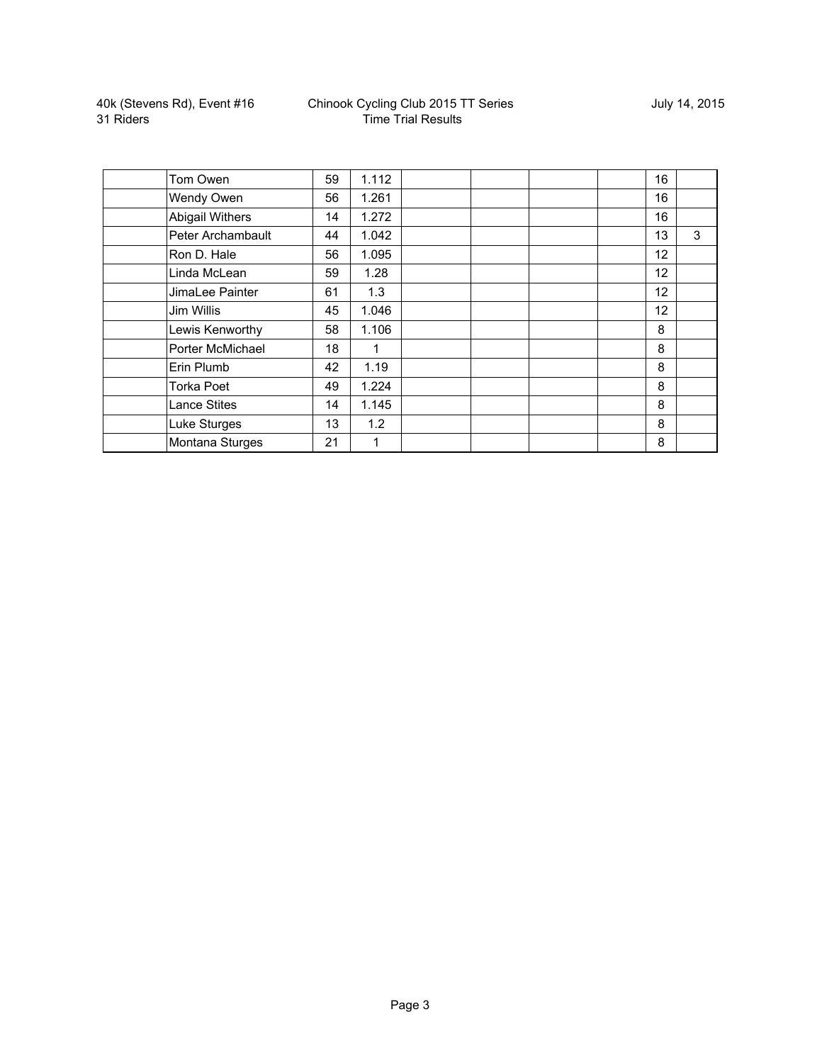| Tom Owen            | 59 | 1.112 |  | 16 |   |
|---------------------|----|-------|--|----|---|
| Wendy Owen          | 56 | 1.261 |  | 16 |   |
| Abigail Withers     | 14 | 1.272 |  | 16 |   |
| Peter Archambault   | 44 | 1.042 |  | 13 | 3 |
| Ron D. Hale         | 56 | 1.095 |  | 12 |   |
| Linda McLean        | 59 | 1.28  |  | 12 |   |
| JimaLee Painter     | 61 | 1.3   |  | 12 |   |
| Jim Willis          | 45 | 1.046 |  | 12 |   |
| Lewis Kenworthy     | 58 | 1.106 |  | 8  |   |
| Porter McMichael    | 18 | 1     |  | 8  |   |
| Erin Plumb          | 42 | 1.19  |  | 8  |   |
| Torka Poet          | 49 | 1.224 |  | 8  |   |
| <b>Lance Stites</b> | 14 | 1.145 |  | 8  |   |
| Luke Sturges        | 13 | 1.2   |  | 8  |   |
| Montana Sturges     | 21 | 1     |  | 8  |   |